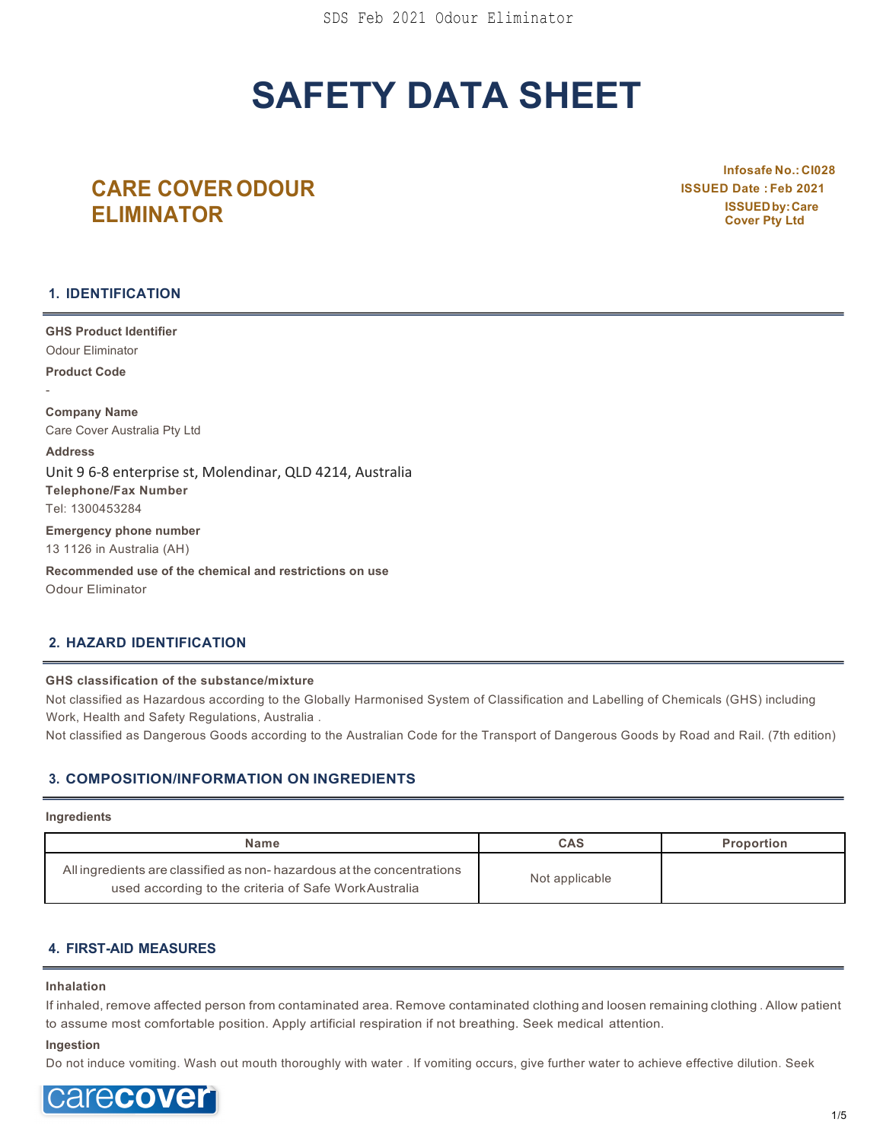# **SAFETY DATA SHEET**

# **CARE COVER ODOUR ELIMINATOR**

**lnfosafe No.: CI028 ISSUED Date : Feb 2021 ISSUEDby:Care Cover Pty Ltd**

## **1. IDENTIFICATION**

**GHS Product Identifier** Odour Eliminator **Product Code** - **Company Name** Care Cover Australia Pty Ltd **Address** Unit 9 6-8 enterprise st, Molendinar, QLD 4214, Australia **Telephone/Fax Number** Tel: 1300453284 **Emergency phone number** 13 1126 in Australia (AH)

**Recommended use of the chemical and restrictions on use** Odour Eliminator

## **2. HAZARD IDENTIFICATION**

#### **GHS classification of the substance/mixture**

Not classified as Hazardous according to the Globally Harmonised System of Classification and Labelling of Chemicals (GHS) including Work, Health and Safety Regulations, Australia .

Not classified as Dangerous Goods according to the Australian Code for the Transport of Dangerous Goods by Road and Rail. (7th edition)

## **3. COMPOSITION/INFORMATION ON INGREDIENTS**

#### **Ingredients**

| <b>Name</b>                                                                                                                    | CAS            | <b>Proportion</b> |
|--------------------------------------------------------------------------------------------------------------------------------|----------------|-------------------|
| All ingredients are classified as non-hazardous at the concentrations<br>used according to the criteria of Safe Work Australia | Not applicable |                   |

## **4. FIRST-AID MEASURES**

#### **Inhalation**

If inhaled, remove affected person from contaminated area. Remove contaminated clothing and loosen remaining clothing . Allow patient to assume most comfortable position. Apply artificial respiration if not breathing. Seek medical attention.

#### **Ingestion**

Do not induce vomiting. Wash out mouth thoroughly with water . If vomiting occurs, give further water to achieve effective dilution. Seek

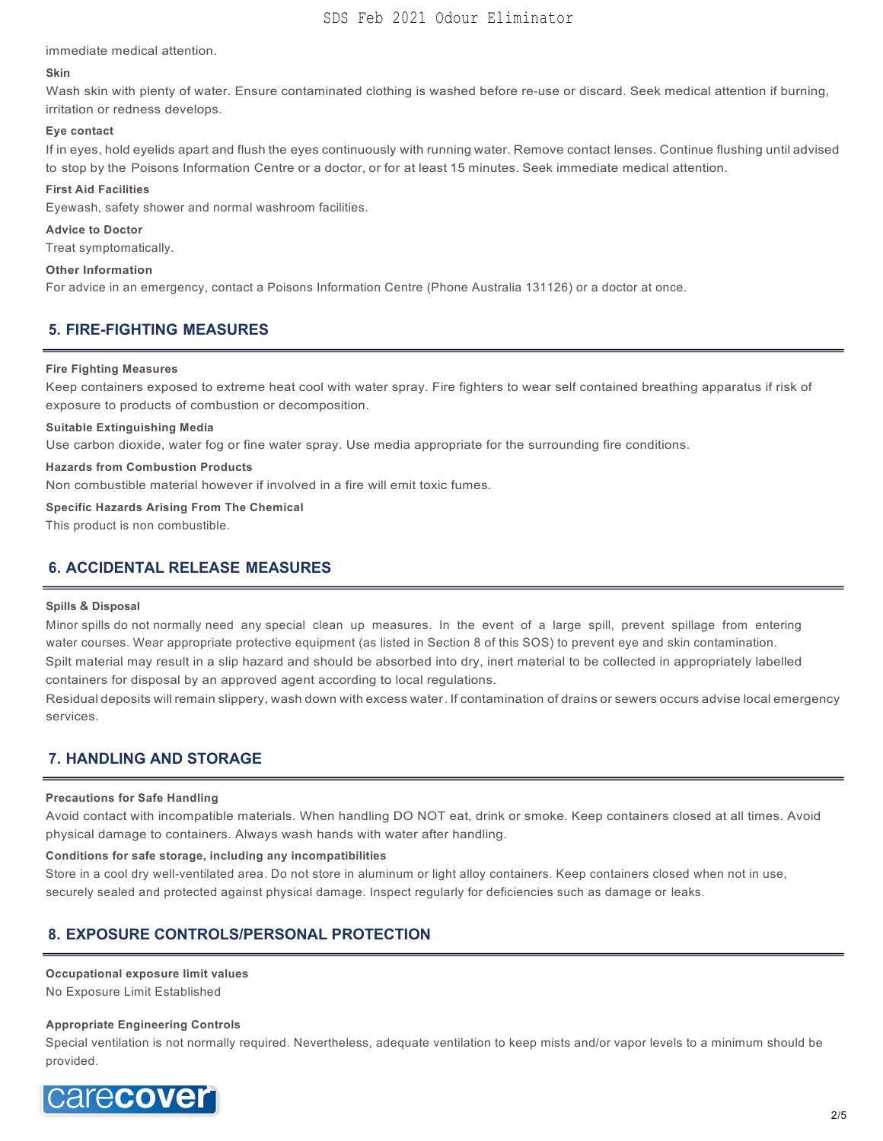immediate medical attention.

#### **Skin**

Wash skin with plenty of water. Ensure contaminated clothing is washed before re-use or discard. Seek medical attention if burning, irritation or redness develops.

#### **Eye contact**

If in eyes, hold eyelids apart and flush the eyes continuously with running water. Remove contact lenses. Continue flushing until advised to stop by the Poisons Information Centre or a doctor, or for at least 15 minutes. Seek immediate medical attention.

#### **First Aid Facilities**

Eyewash, safety shower and normal washroom facilities.

#### **Advice to Doctor**

Treat symptomatically.

#### **Other Information**

For advice in an emergency, contact a Poisons Information Centre (Phone Australia 131126) or a doctor at once.

## **5. FIRE-FIGHTING MEASURES**

#### **Fire Fighting Measures**

Keep containers exposed to extreme heat cool with water spray. Fire fighters to wear self contained breathing apparatus if risk of exposure to products of combustion or decomposition.

#### **Suitable Extinguishing Media**

Use carbon dioxide, water fog or fine water spray. Use media appropriate for the surrounding fire conditions.

#### **Hazards from Combustion Products**

Non combustible material however if involved in a fire will emit toxic fumes.

#### **Specific Hazards Arising From The Chemical**

This product is non combustible.

## **6. ACCIDENTAL RELEASE MEASURES**

#### **Spills & Disposal**

Minor spills do not normally need any special clean up measures. In the event of a large spill, prevent spillage from entering water courses. Wear appropriate protective equipment (as listed in Section 8 of this SOS) to prevent eye and skin contamination. Spilt material may result in a slip hazard and should be absorbed into dry, inert material to be collected in appropriately labelled containers for disposal by an approved agent according to local regulations.

Residual deposits will remain slippery, wash down with excess water. If contamination of drains or sewers occurs advise local emergency services.

## **7. HANDLING AND STORAGE**

#### **Precautions for Safe Handling**

Avoid contact with incompatible materials. When handling DO NOT eat, drink or smoke. Keep containers closed at all times. Avoid physical damage to containers. Always wash hands with water after handling.

#### **Conditions for safe storage, including any incompatibilities**

Store in a cool dry well-ventilated area. Do not store in aluminum or light alloy containers. Keep containers closed when not in use, securely sealed and protected against physical damage. Inspect regularly for deficiencies such as damage or leaks.

## **8. EXPOSURE CONTROLS/PERSONAL PROTECTION**

## **Occupational exposure limit values**

No Exposure Limit Established

#### **Appropriate Engineering Controls**

Special ventilation is not normally required. Nevertheless, adequate ventilation to keep mists and/or vapor levels to a minimum should be provided.

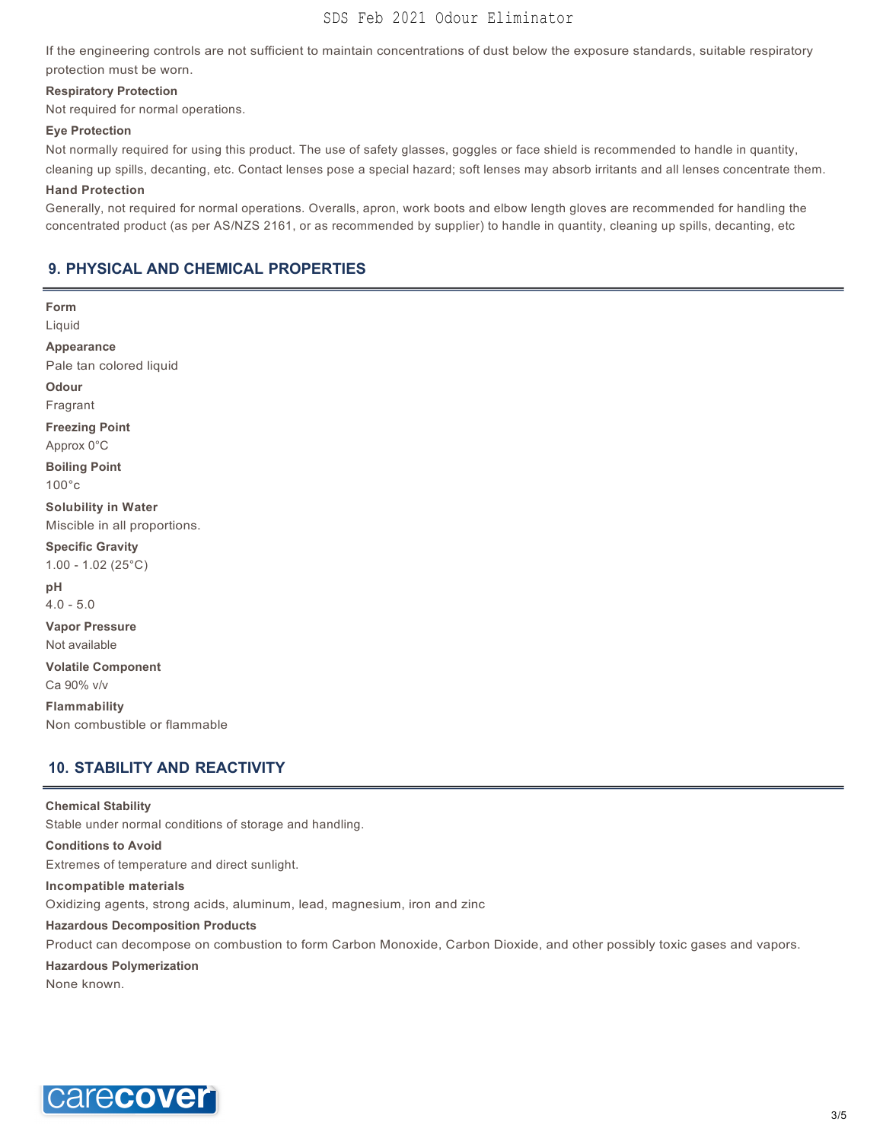## SDS Feb 2021 Odour Eliminator

If the engineering controls are not sufficient to maintain concentrations of dust below the exposure standards, suitable respiratory protection must be worn.

#### **Respiratory Protection**

Not required for normal operations.

#### **Eye Protection**

Not normally required for using this product. The use of safety glasses, goggles or face shield is recommended to handle in quantity, cleaning up spills, decanting, etc. Contact lenses pose a special hazard; soft lenses may absorb irritants and all lenses concentrate them.

#### **Hand Protection**

Generally, not required for normal operations. Overalls, apron, work boots and elbow length gloves are recommended for handling the concentrated product (as per AS/NZS 2161, or as recommended by supplier) to handle in quantity, cleaning up spills, decanting, etc

## **9. PHYSICAL AND CHEMICAL PROPERTIES**

**Form** Liquid **Appearance** Pale tan colored liquid **Odour** Fragrant **Freezing Point** Approx 0°C **Boiling Point** 100°c **Solubility in Water** Miscible in all proportions. **Specific Gravity** 1.00 - 1.02 (25°C) **pH** 4.0 - 5.0 **Vapor Pressure** Not available **Volatile Component** Ca 90% v/v **Flammability** Non combustible or flammable

## **10. STABILITY AND REACTIVITY**

#### **Chemical Stability**

Stable under normal conditions of storage and handling.

## **Conditions to Avoid**

Extremes of temperature and direct sunlight.

#### **Incompatible materials**

Oxidizing agents, strong acids, aluminum, lead, magnesium, iron and zinc

#### **Hazardous Decomposition Products**

Product can decompose on combustion to form Carbon Monoxide, Carbon Dioxide, and other possibly toxic gases and vapors.

#### **Hazardous Polymerization**

None known.

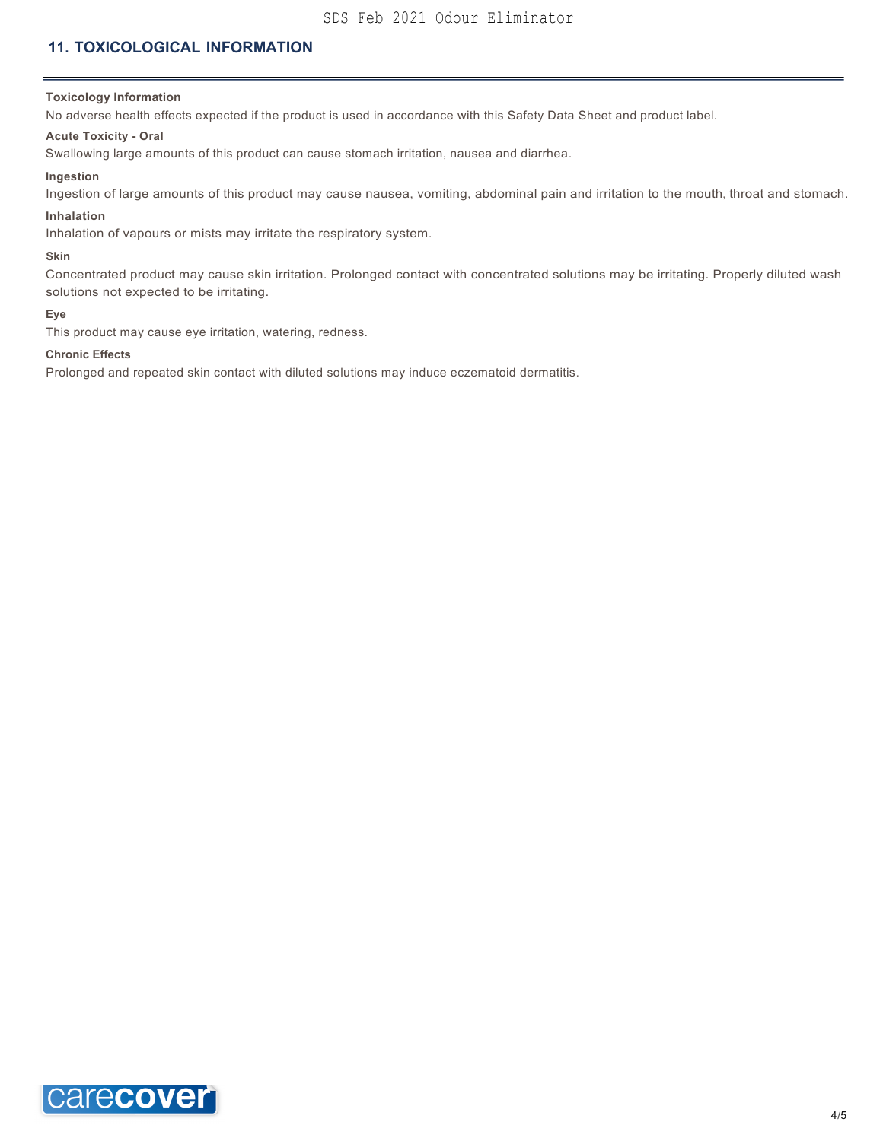## SDS Feb 2021 Odour Eliminator

## **11. TOXICOLOGICAL INFORMATION**

#### **Toxicology Information**

No adverse health effects expected if the product is used in accordance with this Safety Data Sheet and product label.

#### **Acute Toxicity - Oral**

Swallowing large amounts of this product can cause stomach irritation, nausea and diarrhea.

#### **Ingestion**

Ingestion of large amounts of this product may cause nausea, vomiting, abdominal pain and irritation to the mouth, throat and stomach.

#### **Inhalation**

Inhalation of vapours or mists may irritate the respiratory system.

#### **Skin**

Concentrated product may cause skin irritation. Prolonged contact with concentrated solutions may be irritating. Properly diluted wash solutions not expected to be irritating.

#### **Eye**

This product may cause eye irritation, watering, redness.

#### **Chronic Effects**

Prolonged and repeated skin contact with diluted solutions may induce eczematoid dermatitis.

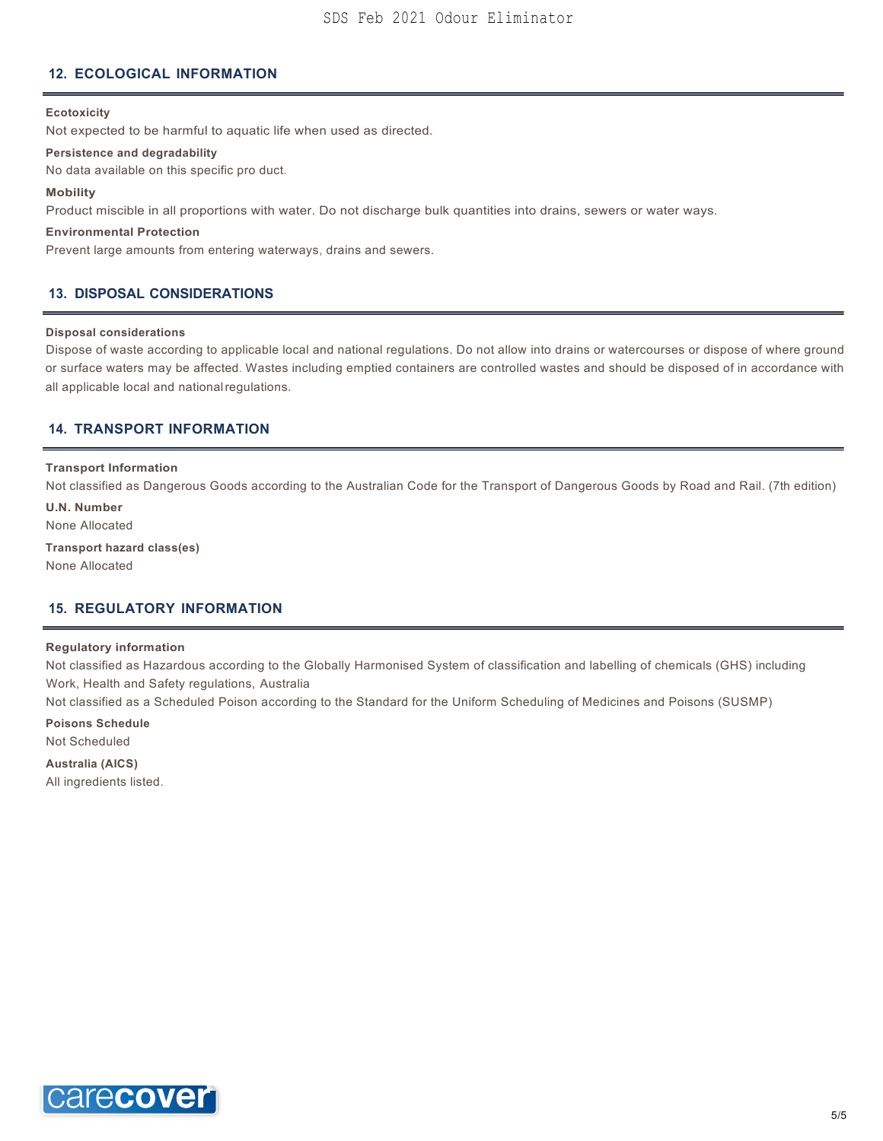## **12. ECOLOGICAL INFORMATION**

#### **Ecotoxicity**

Not expected to be harmful to aquatic life when used as directed.

#### **Persistence and degradability**

No data available on this specific pro duct.

#### **Mobility**

Product miscible in all proportions with water. Do not discharge bulk quantities into drains, sewers or water ways.

#### **Environmental Protection**

Prevent large amounts from entering waterways, drains and sewers.

### **13. DISPOSAL CONSIDERATIONS**

#### **Disposal considerations**

Dispose of waste according to applicable local and national regulations. Do not allow into drains or watercourses or dispose of where ground or surface waters may be affected. Wastes including emptied containers are controlled wastes and should be disposed of in accordance with all applicable local and nationalregulations.

## **14. TRANSPORT INFORMATION**

#### **Transport Information**

Not classified as Dangerous Goods according to the Australian Code for the Transport of Dangerous Goods by Road and Rail. (7th edition)

**U.N. Number** None Allocated

**Transport hazard class(es)** None Allocated

#### **15. REGULATORY INFORMATION**

#### **Regulatory information**

Not classified as Hazardous according to the Globally Harmonised System of classification and labelling of chemicals (GHS) including Work, Health and Safety regulations, Australia

Not classified as a Scheduled Poison according to the Standard for the Uniform Scheduling of Medicines and Poisons (SUSMP)

**Poisons Schedule**

Not Scheduled

**Australia (AICS)** All ingredients listed.